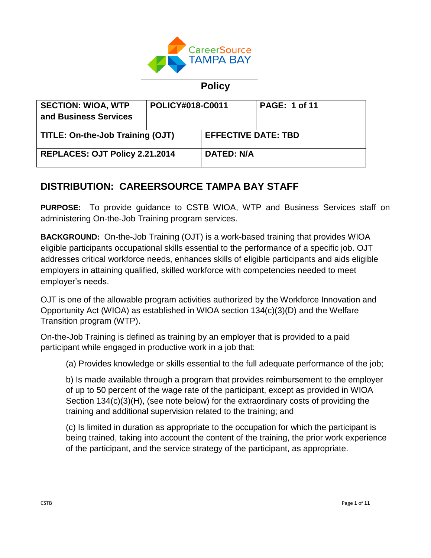

**Policy**

| <b>SECTION: WIOA, WTP</b><br>and Business Services | POLICY#018-C0011 |                            | <b>PAGE: 1 of 11</b> |
|----------------------------------------------------|------------------|----------------------------|----------------------|
| TITLE: On-the-Job Training (OJT)                   |                  | <b>EFFECTIVE DATE: TBD</b> |                      |
| REPLACES: OJT Policy 2.21.2014                     |                  | <b>DATED: N/A</b>          |                      |

# **DISTRIBUTION: CAREERSOURCE TAMPA BAY STAFF**

**PURPOSE:** To provide guidance to CSTB WIOA, WTP and Business Services staff on administering On-the-Job Training program services.

**BACKGROUND:** On-the-Job Training (OJT) is a work-based training that provides WIOA eligible participants occupational skills essential to the performance of a specific job. OJT addresses critical workforce needs, enhances skills of eligible participants and aids eligible employers in attaining qualified, skilled workforce with competencies needed to meet employer's needs.

OJT is one of the allowable program activities authorized by the Workforce Innovation and Opportunity Act (WIOA) as established in WIOA section 134(c)(3)(D) and the Welfare Transition program (WTP).

On-the-Job Training is defined as training by an employer that is provided to a paid participant while engaged in productive work in a job that:

(a) Provides knowledge or skills essential to the full adequate performance of the job;

b) Is made available through a program that provides reimbursement to the employer of up to 50 percent of the wage rate of the participant, except as provided in WIOA Section 134(c)(3)(H), (see note below) for the extraordinary costs of providing the training and additional supervision related to the training; and

(c) Is limited in duration as appropriate to the occupation for which the participant is being trained, taking into account the content of the training, the prior work experience of the participant, and the service strategy of the participant, as appropriate.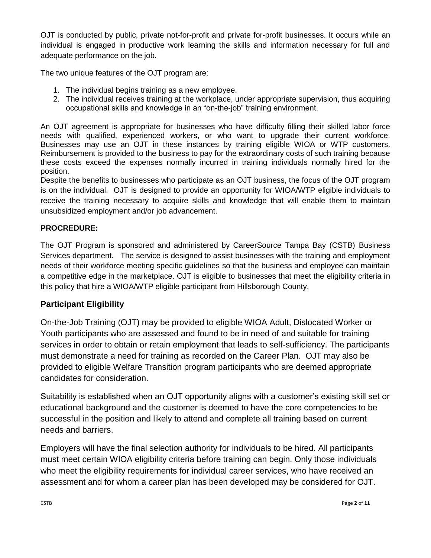OJT is conducted by public, private not-for-profit and private for-profit businesses. It occurs while an individual is engaged in productive work learning the skills and information necessary for full and adequate performance on the job.

The two unique features of the OJT program are:

- 1. The individual begins training as a new employee.
- 2. The individual receives training at the workplace, under appropriate supervision, thus acquiring occupational skills and knowledge in an "on-the-job" training environment.

An OJT agreement is appropriate for businesses who have difficulty filling their skilled labor force needs with qualified, experienced workers, or who want to upgrade their current workforce. Businesses may use an OJT in these instances by training eligible WIOA or WTP customers. Reimbursement is provided to the business to pay for the extraordinary costs of such training because these costs exceed the expenses normally incurred in training individuals normally hired for the position.

Despite the benefits to businesses who participate as an OJT business, the focus of the OJT program is on the individual. OJT is designed to provide an opportunity for WIOA/WTP eligible individuals to receive the training necessary to acquire skills and knowledge that will enable them to maintain unsubsidized employment and/or job advancement.

### **PROCREDURE:**

The OJT Program is sponsored and administered by CareerSource Tampa Bay (CSTB) Business Services department. The service is designed to assist businesses with the training and employment needs of their workforce meeting specific guidelines so that the business and employee can maintain a competitive edge in the marketplace. OJT is eligible to businesses that meet the eligibility criteria in this policy that hire a WIOA/WTP eligible participant from Hillsborough County.

### **Participant Eligibility**

On-the-Job Training (OJT) may be provided to eligible WIOA Adult, Dislocated Worker or Youth participants who are assessed and found to be in need of and suitable for training services in order to obtain or retain employment that leads to self-sufficiency. The participants must demonstrate a need for training as recorded on the Career Plan. OJT may also be provided to eligible Welfare Transition program participants who are deemed appropriate candidates for consideration.

Suitability is established when an OJT opportunity aligns with a customer's existing skill set or educational background and the customer is deemed to have the core competencies to be successful in the position and likely to attend and complete all training based on current needs and barriers.

Employers will have the final selection authority for individuals to be hired. All participants must meet certain WIOA eligibility criteria before training can begin. Only those individuals who meet the eligibility requirements for individual career services, who have received an assessment and for whom a career plan has been developed may be considered for OJT.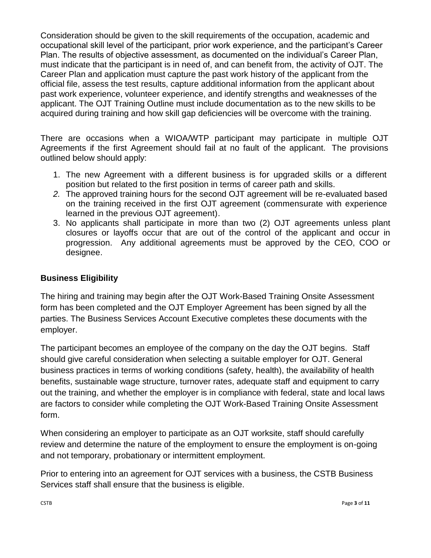Consideration should be given to the skill requirements of the occupation, academic and occupational skill level of the participant, prior work experience, and the participant's Career Plan. The results of objective assessment, as documented on the individual's Career Plan, must indicate that the participant is in need of, and can benefit from, the activity of OJT. The Career Plan and application must capture the past work history of the applicant from the official file, assess the test results, capture additional information from the applicant about past work experience, volunteer experience, and identify strengths and weaknesses of the applicant. The OJT Training Outline must include documentation as to the new skills to be acquired during training and how skill gap deficiencies will be overcome with the training.

There are occasions when a WIOA/WTP participant may participate in multiple OJT Agreements if the first Agreement should fail at no fault of the applicant. The provisions outlined below should apply:

- 1. The new Agreement with a different business is for upgraded skills or a different position but related to the first position in terms of career path and skills.
- *2.* The approved training hours for the second OJT agreement will be re-evaluated based on the training received in the first OJT agreement (commensurate with experience learned in the previous OJT agreement).
- 3. No applicants shall participate in more than two (2) OJT agreements unless plant closures or layoffs occur that are out of the control of the applicant and occur in progression. Any additional agreements must be approved by the CEO, COO or designee.

### **Business Eligibility**

The hiring and training may begin after the OJT Work-Based Training Onsite Assessment form has been completed and the OJT Employer Agreement has been signed by all the parties. The Business Services Account Executive completes these documents with the employer.

The participant becomes an employee of the company on the day the OJT begins. Staff should give careful consideration when selecting a suitable employer for OJT. General business practices in terms of working conditions (safety, health), the availability of health benefits, sustainable wage structure, turnover rates, adequate staff and equipment to carry out the training, and whether the employer is in compliance with federal, state and local laws are factors to consider while completing the OJT Work-Based Training Onsite Assessment form.

When considering an employer to participate as an OJT worksite, staff should carefully review and determine the nature of the employment to ensure the employment is on-going and not temporary, probationary or intermittent employment.

Prior to entering into an agreement for OJT services with a business, the CSTB Business Services staff shall ensure that the business is eligible.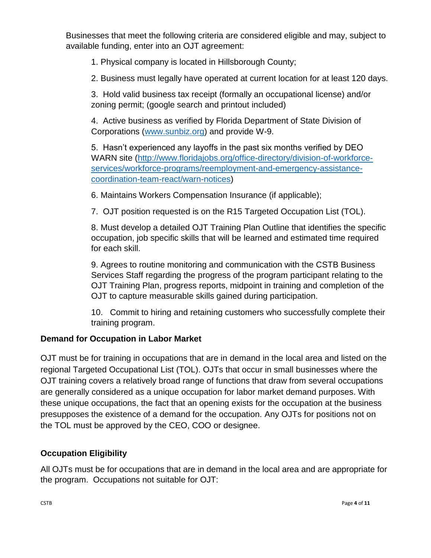Businesses that meet the following criteria are considered eligible and may, subject to available funding, enter into an OJT agreement:

1. Physical company is located in Hillsborough County;

2. Business must legally have operated at current location for at least 120 days.

3. Hold valid business tax receipt (formally an occupational license) and/or zoning permit; (google search and printout included)

4. Active business as verified by Florida Department of State Division of Corporations [\(www.sunbiz.org\)](http://www.sunbiz.org/) and provide W-9.

5. Hasn't experienced any layoffs in the past six months verified by DEO WARN site [\(http://www.floridajobs.org/office-directory/division-of-workforce](http://www.floridajobs.org/office-directory/division-of-workforce-services/workforce-programs/reemployment-and-emergency-assistance-coordination-team-react/warn-notices)[services/workforce-programs/reemployment-and-emergency-assistance](http://www.floridajobs.org/office-directory/division-of-workforce-services/workforce-programs/reemployment-and-emergency-assistance-coordination-team-react/warn-notices)[coordination-team-react/warn-notices\)](http://www.floridajobs.org/office-directory/division-of-workforce-services/workforce-programs/reemployment-and-emergency-assistance-coordination-team-react/warn-notices)

6. Maintains Workers Compensation Insurance (if applicable);

7. OJT position requested is on the R15 Targeted Occupation List (TOL).

8. Must develop a detailed OJT Training Plan Outline that identifies the specific occupation, job specific skills that will be learned and estimated time required for each skill.

9. Agrees to routine monitoring and communication with the CSTB Business Services Staff regarding the progress of the program participant relating to the OJT Training Plan, progress reports, midpoint in training and completion of the OJT to capture measurable skills gained during participation.

10. Commit to hiring and retaining customers who successfully complete their training program.

# **Demand for Occupation in Labor Market**

OJT must be for training in occupations that are in demand in the local area and listed on the regional Targeted Occupational List (TOL). OJTs that occur in small businesses where the OJT training covers a relatively broad range of functions that draw from several occupations are generally considered as a unique occupation for labor market demand purposes. With these unique occupations, the fact that an opening exists for the occupation at the business presupposes the existence of a demand for the occupation. Any OJTs for positions not on the TOL must be approved by the CEO, COO or designee.

# **Occupation Eligibility**

All OJTs must be for occupations that are in demand in the local area and are appropriate for the program. Occupations not suitable for OJT: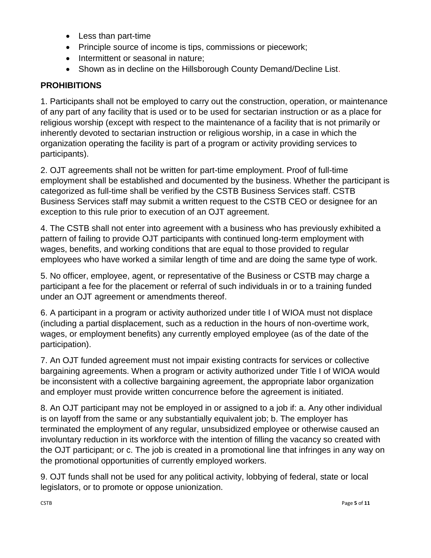- Less than part-time
- Principle source of income is tips, commissions or piecework;
- Intermittent or seasonal in nature;
- Shown as in decline on the Hillsborough County Demand/Decline List.

## **PROHIBITIONS**

1. Participants shall not be employed to carry out the construction, operation, or maintenance of any part of any facility that is used or to be used for sectarian instruction or as a place for religious worship (except with respect to the maintenance of a facility that is not primarily or inherently devoted to sectarian instruction or religious worship, in a case in which the organization operating the facility is part of a program or activity providing services to participants).

2. OJT agreements shall not be written for part-time employment. Proof of full-time employment shall be established and documented by the business. Whether the participant is categorized as full-time shall be verified by the CSTB Business Services staff. CSTB Business Services staff may submit a written request to the CSTB CEO or designee for an exception to this rule prior to execution of an OJT agreement.

4. The CSTB shall not enter into agreement with a business who has previously exhibited a pattern of failing to provide OJT participants with continued long-term employment with wages, benefits, and working conditions that are equal to those provided to regular employees who have worked a similar length of time and are doing the same type of work.

5. No officer, employee, agent, or representative of the Business or CSTB may charge a participant a fee for the placement or referral of such individuals in or to a training funded under an OJT agreement or amendments thereof.

6. A participant in a program or activity authorized under title I of WIOA must not displace (including a partial displacement, such as a reduction in the hours of non-overtime work, wages, or employment benefits) any currently employed employee (as of the date of the participation).

7. An OJT funded agreement must not impair existing contracts for services or collective bargaining agreements. When a program or activity authorized under Title I of WIOA would be inconsistent with a collective bargaining agreement, the appropriate labor organization and employer must provide written concurrence before the agreement is initiated.

8. An OJT participant may not be employed in or assigned to a job if: a. Any other individual is on layoff from the same or any substantially equivalent job; b. The employer has terminated the employment of any regular, unsubsidized employee or otherwise caused an involuntary reduction in its workforce with the intention of filling the vacancy so created with the OJT participant; or c. The job is created in a promotional line that infringes in any way on the promotional opportunities of currently employed workers.

9. OJT funds shall not be used for any political activity, lobbying of federal, state or local legislators, or to promote or oppose unionization.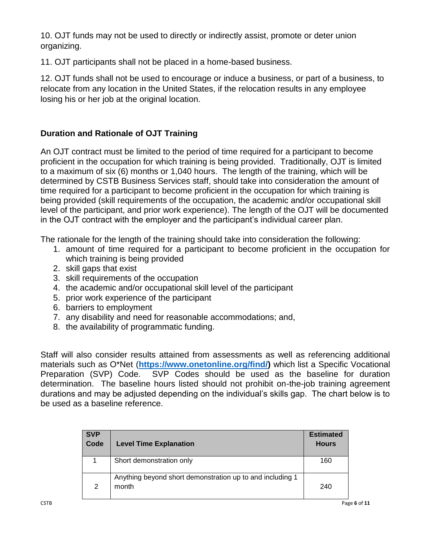10. OJT funds may not be used to directly or indirectly assist, promote or deter union organizing.

11. OJT participants shall not be placed in a home-based business.

12. OJT funds shall not be used to encourage or induce a business, or part of a business, to relocate from any location in the United States, if the relocation results in any employee losing his or her job at the original location.

# **Duration and Rationale of OJT Training**

An OJT contract must be limited to the period of time required for a participant to become proficient in the occupation for which training is being provided. Traditionally, OJT is limited to a maximum of six (6) months or 1,040 hours. The length of the training, which will be determined by CSTB Business Services staff, should take into consideration the amount of time required for a participant to become proficient in the occupation for which training is being provided (skill requirements of the occupation, the academic and/or occupational skill level of the participant, and prior work experience). The length of the OJT will be documented in the OJT contract with the employer and the participant's individual career plan.

The rationale for the length of the training should take into consideration the following:

- 1. amount of time required for a participant to become proficient in the occupation for which training is being provided
- 2. skill gaps that exist
- 3. skill requirements of the occupation
- 4. the academic and/or occupational skill level of the participant
- 5. prior work experience of the participant
- 6. barriers to employment
- 7. any disability and need for reasonable accommodations; and,
- 8. the availability of programmatic funding.

Staff will also consider results attained from assessments as well as referencing additional materials such as O\*Net (**[https://www.onetonline.org/find/\)](https://www.onetonline.org/find/)** which list a Specific Vocational Preparation (SVP) Code. SVP Codes should be used as the baseline for duration determination. The baseline hours listed should not prohibit on-the-job training agreement durations and may be adjusted depending on the individual's skills gap. The chart below is to be used as a baseline reference.

| <b>SVP</b><br>Code | <b>Level Time Explanation</b>                                      | <b>Estimated</b><br><b>Hours</b> |
|--------------------|--------------------------------------------------------------------|----------------------------------|
|                    | Short demonstration only                                           | 160                              |
| 2                  | Anything beyond short demonstration up to and including 1<br>month | 240                              |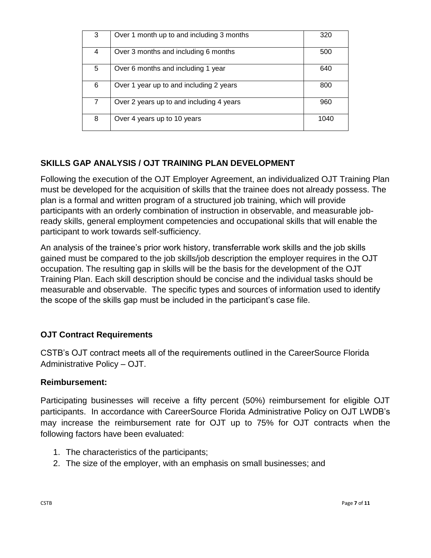| 3 | Over 1 month up to and including 3 months | 320  |
|---|-------------------------------------------|------|
| 4 | Over 3 months and including 6 months      | 500  |
| 5 | Over 6 months and including 1 year        | 640  |
| 6 | Over 1 year up to and including 2 years   | 800  |
| 7 | Over 2 years up to and including 4 years  | 960  |
| 8 | Over 4 years up to 10 years               | 1040 |

### **SKILLS GAP ANALYSIS / OJT TRAINING PLAN DEVELOPMENT**

Following the execution of the OJT Employer Agreement, an individualized OJT Training Plan must be developed for the acquisition of skills that the trainee does not already possess. The plan is a formal and written program of a structured job training, which will provide participants with an orderly combination of instruction in observable, and measurable jobready skills, general employment competencies and occupational skills that will enable the participant to work towards self-sufficiency.

An analysis of the trainee's prior work history, transferrable work skills and the job skills gained must be compared to the job skills/job description the employer requires in the OJT occupation. The resulting gap in skills will be the basis for the development of the OJT Training Plan. Each skill description should be concise and the individual tasks should be measurable and observable. The specific types and sources of information used to identify the scope of the skills gap must be included in the participant's case file.

# **OJT Contract Requirements**

CSTB's OJT contract meets all of the requirements outlined in the CareerSource Florida Administrative Policy – OJT.

#### **Reimbursement:**

Participating businesses will receive a fifty percent (50%) reimbursement for eligible OJT participants. In accordance with CareerSource Florida Administrative Policy on OJT LWDB's may increase the reimbursement rate for OJT up to 75% for OJT contracts when the following factors have been evaluated:

- 1. The characteristics of the participants;
- 2. The size of the employer, with an emphasis on small businesses; and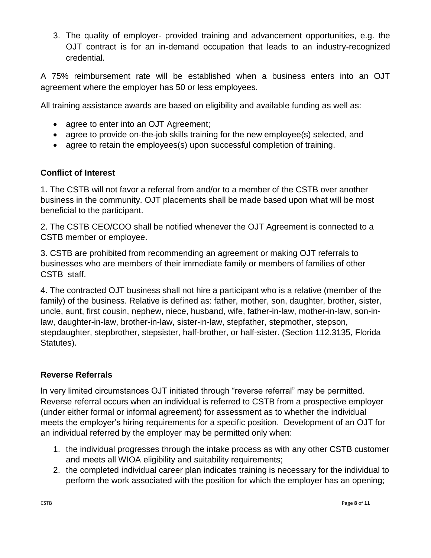3. The quality of employer- provided training and advancement opportunities, e.g. the OJT contract is for an in-demand occupation that leads to an industry-recognized credential.

A 75% reimbursement rate will be established when a business enters into an OJT agreement where the employer has 50 or less employees.

All training assistance awards are based on eligibility and available funding as well as:

- agree to enter into an OJT Agreement:
- agree to provide on-the-job skills training for the new employee(s) selected, and
- agree to retain the employees(s) upon successful completion of training.

#### **Conflict of Interest**

1. The CSTB will not favor a referral from and/or to a member of the CSTB over another business in the community. OJT placements shall be made based upon what will be most beneficial to the participant.

2. The CSTB CEO/COO shall be notified whenever the OJT Agreement is connected to a CSTB member or employee.

3. CSTB are prohibited from recommending an agreement or making OJT referrals to businesses who are members of their immediate family or members of families of other CSTB staff.

4. The contracted OJT business shall not hire a participant who is a relative (member of the family) of the business. Relative is defined as: father, mother, son, daughter, brother, sister, uncle, aunt, first cousin, nephew, niece, husband, wife, father-in-law, mother-in-law, son-inlaw, daughter-in-law, brother-in-law, sister-in-law, stepfather, stepmother, stepson, stepdaughter, stepbrother, stepsister, half-brother, or half-sister. (Section 112.3135, Florida Statutes).

### **Reverse Referrals**

In very limited circumstances OJT initiated through "reverse referral" may be permitted. Reverse referral occurs when an individual is referred to CSTB from a prospective employer (under either formal or informal agreement) for assessment as to whether the individual meets the employer's hiring requirements for a specific position. Development of an OJT for an individual referred by the employer may be permitted only when:

- 1. the individual progresses through the intake process as with any other CSTB customer and meets all WIOA eligibility and suitability requirements;
- 2. the completed individual career plan indicates training is necessary for the individual to perform the work associated with the position for which the employer has an opening;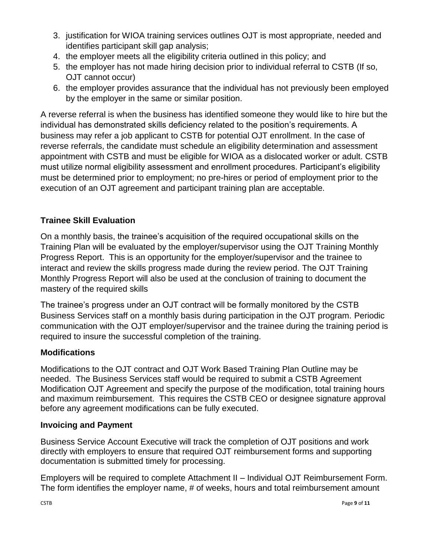- 3. justification for WIOA training services outlines OJT is most appropriate, needed and identifies participant skill gap analysis;
- 4. the employer meets all the eligibility criteria outlined in this policy; and
- 5. the employer has not made hiring decision prior to individual referral to CSTB (If so, OJT cannot occur)
- 6. the employer provides assurance that the individual has not previously been employed by the employer in the same or similar position.

A reverse referral is when the business has identified someone they would like to hire but the individual has demonstrated skills deficiency related to the position's requirements. A business may refer a job applicant to CSTB for potential OJT enrollment. In the case of reverse referrals, the candidate must schedule an eligibility determination and assessment appointment with CSTB and must be eligible for WIOA as a dislocated worker or adult. CSTB must utilize normal eligibility assessment and enrollment procedures. Participant's eligibility must be determined prior to employment; no pre-hires or period of employment prior to the execution of an OJT agreement and participant training plan are acceptable.

### **Trainee Skill Evaluation**

On a monthly basis, the trainee's acquisition of the required occupational skills on the Training Plan will be evaluated by the employer/supervisor using the OJT Training Monthly Progress Report. This is an opportunity for the employer/supervisor and the trainee to interact and review the skills progress made during the review period. The OJT Training Monthly Progress Report will also be used at the conclusion of training to document the mastery of the required skills

The trainee's progress under an OJT contract will be formally monitored by the CSTB Business Services staff on a monthly basis during participation in the OJT program. Periodic communication with the OJT employer/supervisor and the trainee during the training period is required to insure the successful completion of the training.

### **Modifications**

Modifications to the OJT contract and OJT Work Based Training Plan Outline may be needed. The Business Services staff would be required to submit a CSTB Agreement Modification OJT Agreement and specify the purpose of the modification, total training hours and maximum reimbursement. This requires the CSTB CEO or designee signature approval before any agreement modifications can be fully executed.

#### **Invoicing and Payment**

Business Service Account Executive will track the completion of OJT positions and work directly with employers to ensure that required OJT reimbursement forms and supporting documentation is submitted timely for processing.

Employers will be required to complete Attachment II – Individual OJT Reimbursement Form. The form identifies the employer name, # of weeks, hours and total reimbursement amount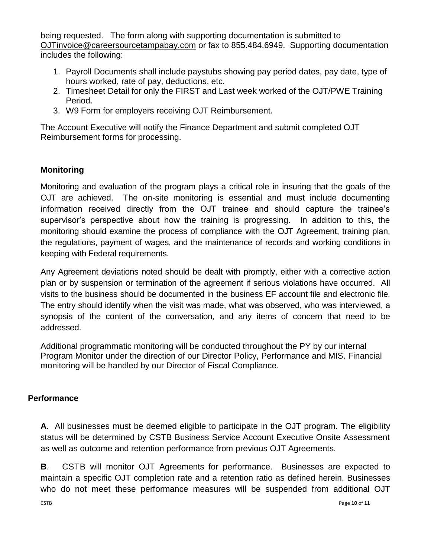being requested. The form along with supporting documentation is submitted to [OJTinvoice@careersourcetampabay.com](mailto:OJTinvoice@careersourcetampabay.com) or fax to 855.484.6949. Supporting documentation includes the following:

- 1. Payroll Documents shall include paystubs showing pay period dates, pay date, type of hours worked, rate of pay, deductions, etc.
- 2. Timesheet Detail for only the FIRST and Last week worked of the OJT/PWE Training Period.
- 3. W9 Form for employers receiving OJT Reimbursement.

The Account Executive will notify the Finance Department and submit completed OJT Reimbursement forms for processing.

### **Monitoring**

Monitoring and evaluation of the program plays a critical role in insuring that the goals of the OJT are achieved. The on-site monitoring is essential and must include documenting information received directly from the OJT trainee and should capture the trainee's supervisor's perspective about how the training is progressing. In addition to this, the monitoring should examine the process of compliance with the OJT Agreement, training plan, the regulations, payment of wages, and the maintenance of records and working conditions in keeping with Federal requirements.

Any Agreement deviations noted should be dealt with promptly, either with a corrective action plan or by suspension or termination of the agreement if serious violations have occurred. All visits to the business should be documented in the business EF account file and electronic file. The entry should identify when the visit was made, what was observed, who was interviewed, a synopsis of the content of the conversation, and any items of concern that need to be addressed.

Additional programmatic monitoring will be conducted throughout the PY by our internal Program Monitor under the direction of our Director Policy, Performance and MIS. Financial monitoring will be handled by our Director of Fiscal Compliance.

### **Performance**

**A**. All businesses must be deemed eligible to participate in the OJT program. The eligibility status will be determined by CSTB Business Service Account Executive Onsite Assessment as well as outcome and retention performance from previous OJT Agreements.

**B**. CSTB will monitor OJT Agreements for performance. Businesses are expected to maintain a specific OJT completion rate and a retention ratio as defined herein. Businesses who do not meet these performance measures will be suspended from additional OJT